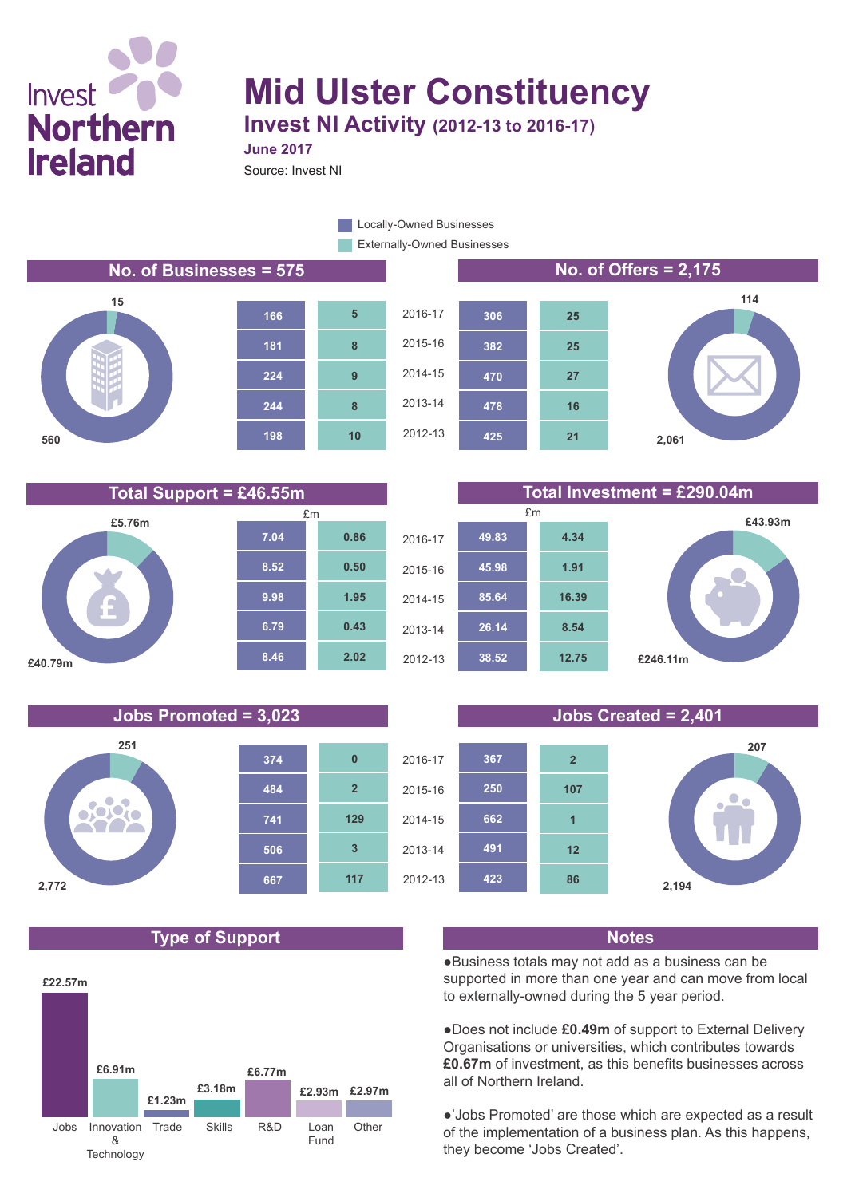# Invest **Northern Ireland**

## **Mid Ulster Constituency Invest NI Activity (2012-13 to 2016-17)**

**June 2017**

**10**

**8**

**9**

**8**

**5**

Source: Invest NI

Externally-Owned Businesses **Locally-Owned Businesses** 









**Total Support = £46.55m Total Investment = £290.04m**





**21**

**16**

**27**

**25**

**25**





### **Type of Support Notes**





●Business totals may not add as a business can be supported in more than one year and can move from local to externally-owned during the 5 year period.

●Does not include **£0.49m** of support to External Delivery Organisations or universities, which contributes towards **£0.67m** of investment, as this benefits businesses across all of Northern Ireland.

●'Jobs Promoted' are those which are expected as a result of the implementation of a business plan. As this happens, they become 'Jobs Created'.